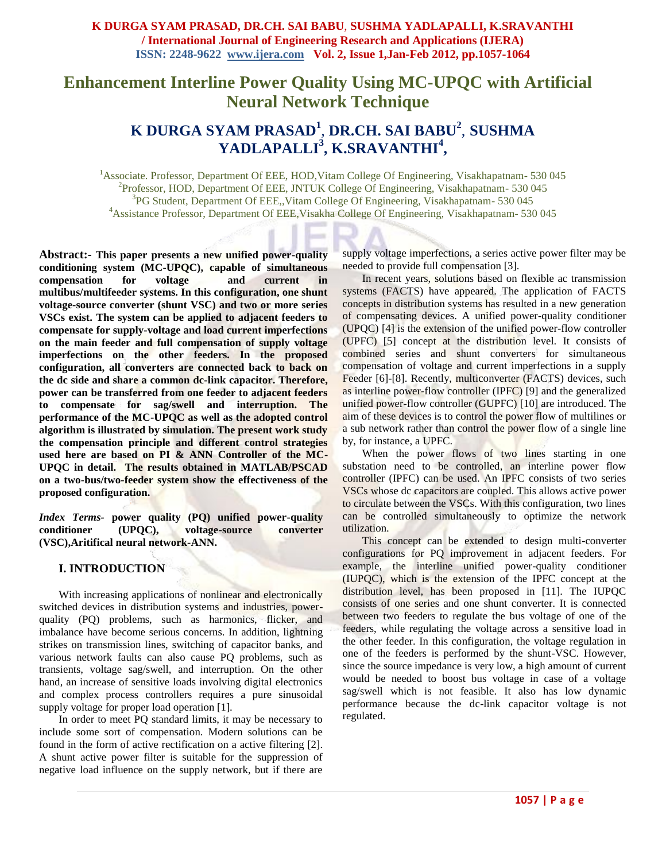# **Enhancement Interline Power Quality Using MC-UPQC with Artificial Neural Network Technique**

# **K DURGA SYAM PRASAD<sup>1</sup>** , **DR.CH. SAI BABU<sup>2</sup>** , **SUSHMA YADLAPALLI<sup>3</sup> , K.SRAVANTHI<sup>4</sup> ,**

<sup>1</sup> Associate. Professor, Department Of EEE, HOD, Vitam College Of Engineering, Visakhapatnam- 530 045 <sup>2</sup>Professor, HOD, Department Of EEE, JNTUK College Of Engineering, Visakhapatnam- 530 045 3 PG Student, Department Of EEE,,Vitam College Of Engineering, Visakhapatnam- 530 045 <sup>4</sup>Assistance Professor, Department Of EEE,Visakha College Of Engineering, Visakhapatnam- 530 045

**Abstract:- This paper presents a new unified power-quality conditioning system (MC-UPQC), capable of simultaneous compensation for voltage and current in multibus/multifeeder systems. In this configuration, one shunt voltage-source converter (shunt VSC) and two or more series VSCs exist. The system can be applied to adjacent feeders to compensate for supply-voltage and load current imperfections on the main feeder and full compensation of supply voltage imperfections on the other feeders. In the proposed configuration, all converters are connected back to back on the dc side and share a common dc-link capacitor. Therefore, power can be transferred from one feeder to adjacent feeders to compensate for sag/swell and interruption. The performance of the MC-UPQC as well as the adopted control algorithm is illustrated by simulation. The present work study the compensation principle and different control strategies used here are based on PI & ANN Controller of the MC-UPQC in detail. The results obtained in MATLAB/PSCAD on a two-bus/two-feeder system show the effectiveness of the proposed configuration.**

*Index Terms-* **power quality (PQ) unified power-quality conditioner (UPQC), voltage-source converter (VSC),Aritifical neural network-ANN.**

## **I. INTRODUCTION**

With increasing applications of nonlinear and electronically switched devices in distribution systems and industries, powerquality (PQ) problems, such as harmonics, flicker, and imbalance have become serious concerns. In addition, lightning strikes on transmission lines, switching of capacitor banks, and various network faults can also cause PQ problems, such as transients, voltage sag/swell, and interruption. On the other hand, an increase of sensitive loads involving digital electronics and complex process controllers requires a pure sinusoidal supply voltage for proper load operation [1].

In order to meet PQ standard limits, it may be necessary to include some sort of compensation. Modern solutions can be found in the form of active rectification on a active filtering [2]. A shunt active power filter is suitable for the suppression of negative load influence on the supply network, but if there are

supply voltage imperfections, a series active power filter may be needed to provide full compensation [3].

In recent years, solutions based on flexible ac transmission systems (FACTS) have appeared. The application of FACTS concepts in distribution systems has resulted in a new generation of compensating devices. A unified power-quality conditioner (UPQC) [4] is the extension of the unified power-flow controller (UPFC) [5] concept at the distribution level. It consists of combined series and shunt converters for simultaneous compensation of voltage and current imperfections in a supply Feeder [6]-[8]. Recently, multiconverter (FACTS) devices, such as interline power-flow controller (IPFC) [9] and the generalized unified power-flow controller (GUPFC) [10] are introduced. The aim of these devices is to control the power flow of multilines or a sub network rather than control the power flow of a single line by, for instance, a UPFC.

When the power flows of two lines starting in one substation need to be controlled, an interline power flow controller (IPFC) can be used. An IPFC consists of two series VSCs whose dc capacitors are coupled. This allows active power to circulate between the VSCs. With this configuration, two lines can be controlled simultaneously to optimize the network utilization.

This concept can be extended to design multi-converter configurations for PQ improvement in adjacent feeders. For example, the interline unified power-quality conditioner (IUPQC), which is the extension of the IPFC concept at the distribution level, has been proposed in [11]. The IUPOC consists of one series and one shunt converter. It is connected between two feeders to regulate the bus voltage of one of the feeders, while regulating the voltage across a sensitive load in the other feeder. In this configuration, the voltage regulation in one of the feeders is performed by the shunt-VSC. However, since the source impedance is very low, a high amount of current would be needed to boost bus voltage in case of a voltage sag/swell which is not feasible. It also has low dynamic performance because the dc-link capacitor voltage is not regulated.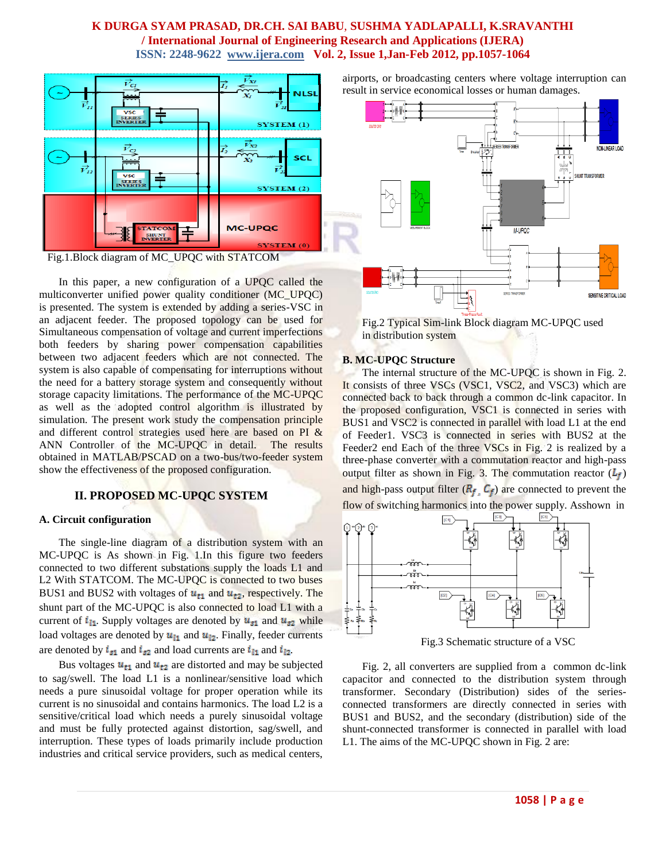

Fig.1.Block diagram of MC\_UPQC with STATCOM

In this paper, a new configuration of a UPQC called the multiconverter unified power quality conditioner (MC\_UPQC) is presented. The system is extended by adding a series-VSC in an adjacent feeder. The proposed topology can be used for Simultaneous compensation of voltage and current imperfections both feeders by sharing power compensation capabilities between two adjacent feeders which are not connected. The system is also capable of compensating for interruptions without the need for a battery storage system and consequently without storage capacity limitations. The performance of the MC-UPQC as well as the adopted control algorithm is illustrated by simulation. The present work study the compensation principle and different control strategies used here are based on PI & ANN Controller of the MC-UPQC in detail. The results obtained in MATLAB/PSCAD on a two-bus/two-feeder system show the effectiveness of the proposed configuration.

## **II. PROPOSED MC-UPQC SYSTEM**

### **A. Circuit configuration**

The single-line diagram of a distribution system with an MC-UPQC is As shown in Fig. 1.In this figure two feeders connected to two different substations supply the loads L1 and L2 With STATCOM. The MC-UPQC is connected to two buses BUS1 and BUS2 with voltages of  $u_{t1}$  and  $u_{t2}$ , respectively. The shunt part of the MC-UPQC is also connected to load L1 with a current of  $i_{11}$ . Supply voltages are denoted by  $u_{s1}$  and  $u_{s2}$  while load voltages are denoted by  $u_{11}$  and  $u_{12}$ . Finally, feeder currents are denoted by  $i_{s1}$  and  $i_{s2}$  and load currents are  $i_{11}$  and  $i_{12}$ .

Bus voltages  $u_{t1}$  and  $u_{t2}$  are distorted and may be subjected to sag/swell. The load L1 is a nonlinear/sensitive load which needs a pure sinusoidal voltage for proper operation while its current is no sinusoidal and contains harmonics. The load L2 is a sensitive/critical load which needs a purely sinusoidal voltage and must be fully protected against distortion, sag/swell, and interruption. These types of loads primarily include production industries and critical service providers, such as medical centers, airports, or broadcasting centers where voltage interruption can result in service economical losses or human damages.



Fig.2 Typical Sim-link Block diagram MC-UPQC used in distribution system

#### **B. MC-UPQC Structure**

The internal structure of the MC-UPQC is shown in Fig. 2. It consists of three VSCs (VSC1, VSC2, and VSC3) which are connected back to back through a common dc-link capacitor. In the proposed configuration, VSC1 is connected in series with BUS1 and VSC2 is connected in parallel with load L1 at the end of Feeder1. VSC3 is connected in series with BUS2 at the Feeder2 end Each of the three VSCs in Fig. 2 is realized by a three-phase converter with a commutation reactor and high-pass output filter as shown in Fig. 3. The commutation reactor  $(L_f)$ and high-pass output filter  $(R_f, C_f)$  are connected to prevent the flow of switching harmonics into the power supply. Asshown in



Fig.3 Schematic structure of a VSC

Fig. 2, all converters are supplied from a common dc-link capacitor and connected to the distribution system through transformer. Secondary (Distribution) sides of the seriesconnected transformers are directly connected in series with BUS1 and BUS2, and the secondary (distribution) side of the shunt-connected transformer is connected in parallel with load L1. The aims of the MC-UPQC shown in Fig. 2 are: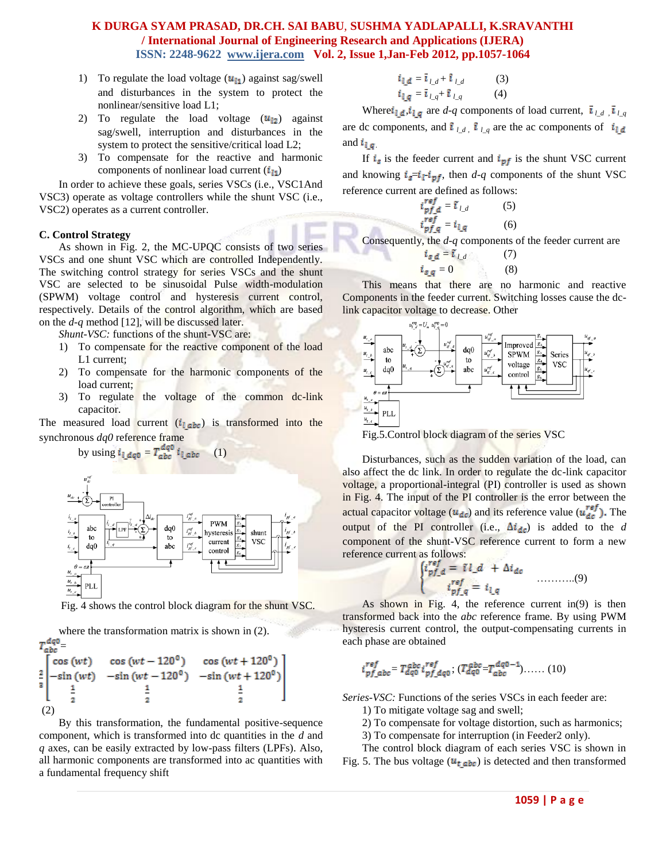- 1) To regulate the load voltage  $(u_{11})$  against sag/swell and disturbances in the system to protect the nonlinear/sensitive load L1;
- 2) To regulate the load voltage  $(u_{12})$  against sag/swell, interruption and disturbances in the system to protect the sensitive/critical load L2;
- 3) To compensate for the reactive and harmonic components of nonlinear load current  $(i<sub>H</sub>)$

In order to achieve these goals, series VSCs (i.e., VSC1And VSC3) operate as voltage controllers while the shunt VSC (i.e., VSC2) operates as a current controller.

#### **C. Control Strategy**

As shown in Fig. 2, the MC-UPQC consists of two series VSCs and one shunt VSC which are controlled Independently. The switching control strategy for series VSCs and the shunt VSC are selected to be sinusoidal Pulse width-modulation (SPWM) voltage control and hysteresis current control, respectively. Details of the control algorithm, which are based on the *d-q* method [12], will be discussed later.

*Shunt-VSC:* functions of the shunt-VSC are:

- 1) To compensate for the reactive component of the load L1 current;
- 2) To compensate for the harmonic components of the load current;
- 3) To regulate the voltage of the common dc-link capacitor.

The measured load current  $(i_{labc})$  is transformed into the synchronous *dq0* reference frame



Fig. 4 shows the control block diagram for the shunt VSC.

where the transformation matrix is shown in (2).  $T_{abc}^{dq0} =$ <br>  $\frac{1}{2} \begin{bmatrix} \cos{(wt)} & \cos{(wt-120^\circ)} & \cos{(wt+120^\circ)} \\ -\sin{(wt)} & -\sin{(wt-120^\circ)} & -\sin{(wt+120^\circ)} \\ \frac{1}{2} & \frac{1}{2} & \frac{1}{2} \end{bmatrix}$  $\frac{2}{3}$ 

(2)

By this transformation, the fundamental positive-sequence component, which is transformed into dc quantities in the *d* and *q* axes, can be easily extracted by low-pass filters (LPFs). Also, all harmonic components are transformed into ac quantities with a fundamental frequency shift

$$
i_{l,d} = \overline{i}_{l,d} + \overline{i}_{l,d}
$$
 (3)  

$$
i_{l,q} = \overline{i}_{l,q} + \overline{i}_{l,q}
$$
 (4)

Where  $i_{\underline{l},\underline{d}}$ ,  $i_{\underline{l},\underline{q}}$  are  $d$ -q components of load current,  $\overline{i}_{\underline{l},d}$ ,  $\overline{i}_{\underline{l},\underline{q}}$ are dc components, and  $\hat{\mathbf{i}}_{\ell d}$ ,  $\hat{\mathbf{i}}_{\ell q}$  are the ac components of  $\hat{\mathbf{i}}_{\ell d}$ and  $i_{l,q}$ 

If  $i_s$  is the feeder current and  $i_{pf}$  is the shunt VSC current and knowing  $i_{g} = i_{1} \cdot i_{pf}$ , then  $d - q$  components of the shunt VSC reference current are defined as follows:

$$
i_{pf\_d}^{ref} = i_{l\_d}
$$
 (5)  
\n
$$
i_{pf\_q}^{ref} = i_{l\_q}
$$
 (6)  
\n*i*, the *d-a* components of

Consequently, the *d*-*q* components of the feeder current are  $i_{sd} = \tilde{i}_{ld}$  (7)

$$
i_{s,q} = 0 \tag{8}
$$

This means that there are no harmonic and reactive Components in the feeder current. Switching losses cause the dclink capacitor voltage to decrease. Other



Fig.5.Control block diagram of the series VSC

Disturbances, such as the sudden variation of the load, can also affect the dc link. In order to regulate the dc-link capacitor voltage, a proportional-integral (PI) controller is used as shown in Fig. 4. The input of the PI controller is the error between the actual capacitor voltage ( $u_{dc}$ ) and its reference value ( $u_{dc}^{ref}$ ). The output of the PI controller (i.e.,  $\Delta i_{dc}$ ) is added to the *d* component of the shunt-VSC reference current to form a new reference current as follows:

………..(9)

As shown in Fig. 4, the reference current in(9) is then transformed back into the *abc* reference frame. By using PWM hysteresis current control, the output-compensating currents in each phase are obtained

$$
i_{pf\_abc}^{ref} = T_{dq0}^{abc} i_{pf\_dq0}^{ref}; (T_{dq0}^{abc} = T_{abc}^{dq0-1}) \dots \dots (10)
$$

*Series-VSC:* Functions of the series VSCs in each feeder are:

1) To mitigate voltage sag and swell;

2) To compensate for voltage distortion, such as harmonics;

3) To compensate for interruption (in Feeder2 only).

The control block diagram of each series VSC is shown in Fig. 5. The bus voltage  $(u_t_{abc})$  is detected and then transformed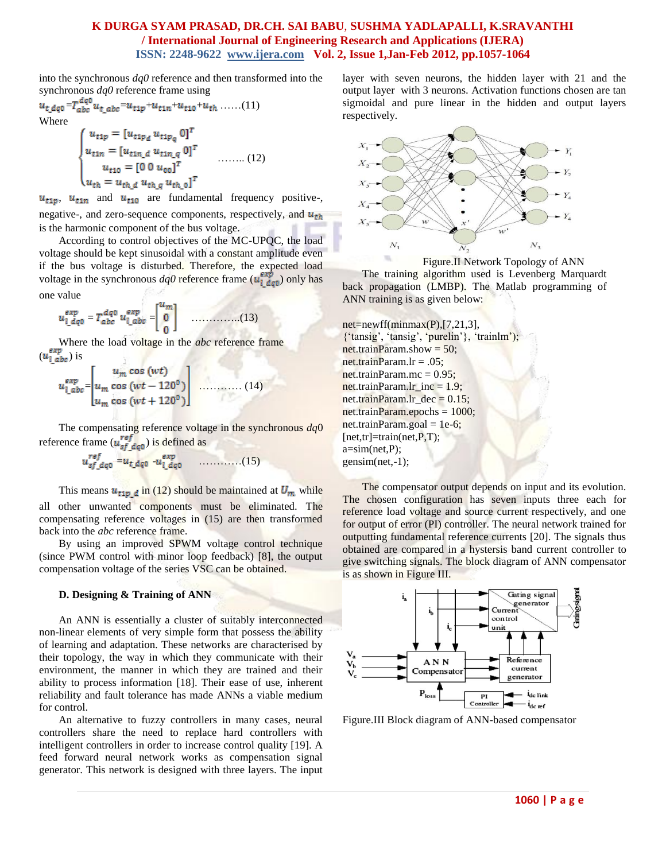into the synchronous *dq0* reference and then transformed into the synchronous *dq0* reference frame using

 $u_{t_dq_0}=T^{dq_0}_{abc}u_{t_aabc}=u_{t1p}+u_{t1n}+u_{t10}+u_{th}\cdot\ldots\ldots(11)$ Where

$$
\begin{cases}\n u_{\text{tip}} = [u_{\text{tip}_d} u_{\text{tip}_q} 0]^T \\
u_{\text{fin}} = [u_{\text{tin}_d} u_{\text{tin}_q} 0]^T \\
u_{\text{tip}} = [0 \ 0 \ u_{00}]^T \\
u_{\text{th}} = u_{\text{th}_d} u_{\text{th}_q} u_{\text{th}_q} 0]^T\n\end{cases} \dots \dots \dots (12)
$$

 $u_{t1p}$ ,  $u_{t1n}$  and  $u_{t10}$  are fundamental frequency positive-, negative-, and zero-sequence components, respectively, and  $u_{th}$ is the harmonic component of the bus voltage.

According to control objectives of the MC-UPQC, the load voltage should be kept sinusoidal with a constant amplitude even if the bus voltage is disturbed. Therefore, the expected load voltage in the synchronous  $dq0$  reference frame ( $\mathbf{u}_{i \ d q 0}^{exp}$ ) only has one value

= = …………..(13)

Where the load voltage in the *abc* reference frame  $(u_{l \, abc}^{exp})$  is

$$
u_{1\_abc}^{exp} = \begin{bmatrix} u_m \cos{(wt)} \\ u_m \cos{(wt - 120^\circ)} \\ u_m \cos{(wt + 120^\circ)} \end{bmatrix}
$$
 (14)

The compensating reference voltage in the synchronous *dq*0 reference frame  $(u_{sf,deg}^{ref})$  is defined as

= - …………(15)

This means  $u_{\text{tip\_d}}$  in (12) should be maintained at  $U_m$  while all other unwanted components must be eliminated. The compensating reference voltages in (15) are then transformed back into the *abc* reference frame.

By using an improved SPWM voltage control technique (since PWM control with minor loop feedback) [8], the output compensation voltage of the series VSC can be obtained.

#### **D. Designing & Training of ANN**

An ANN is essentially a cluster of suitably interconnected non-linear elements of very simple form that possess the ability of learning and adaptation. These networks are characterised by their topology, the way in which they communicate with their environment, the manner in which they are trained and their ability to process information [18]. Their ease of use, inherent reliability and fault tolerance has made ANNs a viable medium for control.

An alternative to fuzzy controllers in many cases, neural controllers share the need to replace hard controllers with intelligent controllers in order to increase control quality [19]. A feed forward neural network works as compensation signal generator. This network is designed with three layers. The input layer with seven neurons, the hidden layer with 21 and the output layer with 3 neurons. Activation functions chosen are tan sigmoidal and pure linear in the hidden and output layers respectively.



Figure.II Network Topology of ANN

The training algorithm used is Levenberg Marquardt back propagation (LMBP). The Matlab programming of ANN training is as given below:

 $net=newff(minmax(P), [7,21,3],$ {"tansig", "tansig", "purelin"}, "trainlm"); net.trainParam.show =  $50$ ; net.trainParam.lr =  $.05$ : net.trainParam.mc =  $0.95$ :  $net.trainParam.lr\_inc = 1.9;$ net.trainParam.lr\_dec =  $0.15$ ; net.trainParam.epochs = 1000;  $net.trainParam.goal = 1e-6;$  $[net,tr] = train(net, P, T);$  $a=sim(net,P);$ gensim(net,-1);

The compensator output depends on input and its evolution. The chosen configuration has seven inputs three each for reference load voltage and source current respectively, and one for output of error (PI) controller. The neural network trained for outputting fundamental reference currents [20]. The signals thus obtained are compared in a hystersis band current controller to give switching signals. The block diagram of ANN compensator is as shown in Figure III.



Figure.III Block diagram of ANN-based compensator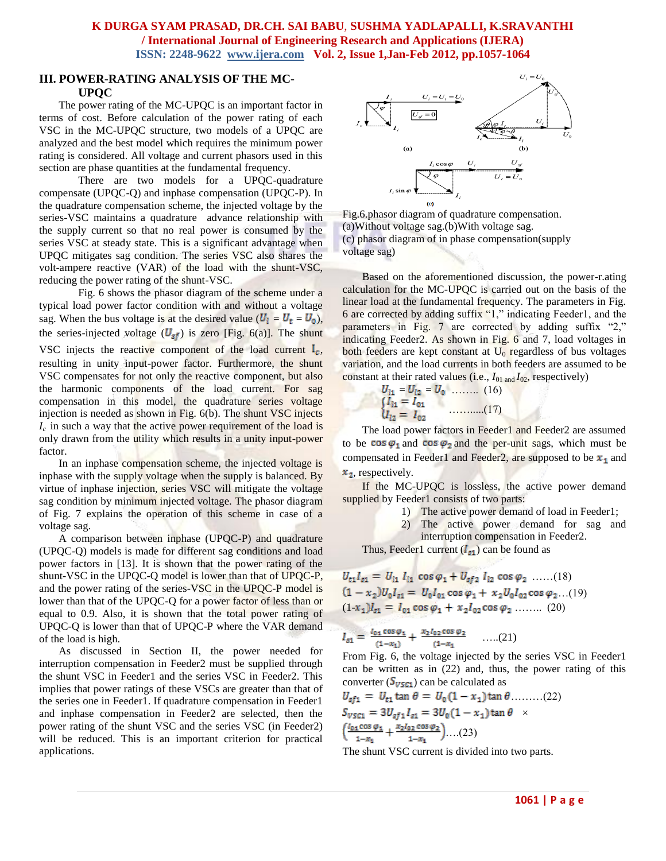### **III. POWER-RATING ANALYSIS OF THE MC-UPQC**

The power rating of the MC-UPQC is an important factor in terms of cost. Before calculation of the power rating of each VSC in the MC-UPQC structure, two models of a UPQC are analyzed and the best model which requires the minimum power rating is considered. All voltage and current phasors used in this section are phase quantities at the fundamental frequency.

There are two models for a UPQC-quadrature compensate (UPQC-Q) and inphase compensation (UPQC-P). In the quadrature compensation scheme, the injected voltage by the series-VSC maintains a quadrature advance relationship with the supply current so that no real power is consumed by the series VSC at steady state. This is a significant advantage when UPQC mitigates sag condition. The series VSC also shares the volt-ampere reactive (VAR) of the load with the shunt-VSC, reducing the power rating of the shunt-VSC.

Fig. 6 shows the phasor diagram of the scheme under a typical load power factor condition with and without a voltage sag. When the bus voltage is at the desired value  $(U_1 = U_t = U_0)$ , the series-injected voltage  $(U_{sf})$  is zero [Fig. 6(a)]. The shunt VSC injects the reactive component of the load current  $I_c$ , resulting in unity input-power factor. Furthermore, the shunt VSC compensates for not only the reactive component, but also the harmonic components of the load current. For sag compensation in this model, the quadrature series voltage injection is needed as shown in Fig. 6(b). The shunt VSC injects *I<sup>c</sup>* in such a way that the active power requirement of the load is only drawn from the utility which results in a unity input-power factor.

In an inphase compensation scheme, the injected voltage is inphase with the supply voltage when the supply is balanced. By virtue of inphase injection, series VSC will mitigate the voltage sag condition by minimum injected voltage. The phasor diagram of Fig. 7 explains the operation of this scheme in case of a voltage sag.

A comparison between inphase (UPQC-P) and quadrature (UPQC-Q) models is made for different sag conditions and load power factors in [13]. It is shown that the power rating of the shunt-VSC in the UPQC-Q model is lower than that of UPQC-P, and the power rating of the series-VSC in the UPQC-P model is lower than that of the UPQC-Q for a power factor of less than or equal to 0.9. Also, it is shown that the total power rating of UPQC-Q is lower than that of UPQC-P where the VAR demand of the load is high.

As discussed in Section II, the power needed for interruption compensation in Feeder2 must be supplied through the shunt VSC in Feeder1 and the series VSC in Feeder2. This implies that power ratings of these VSCs are greater than that of the series one in Feeder1. If quadrature compensation in Feeder1 and inphase compensation in Feeder2 are selected, then the power rating of the shunt VSC and the series VSC (in Feeder2) will be reduced. This is an important criterion for practical applications.



Fig.6.phasor diagram of quadrature compensation. (a)Without voltage sag.(b)With voltage sag. (c) phasor diagram of in phase compensation(supply voltage sag)

Based on the aforementioned discussion, the power-r.ating calculation for the MC-UPQC is carried out on the basis of the linear load at the fundamental frequency. The parameters in Fig. 6 are corrected by adding suffix "1," indicating Feeder1, and the parameters in Fig. 7 are corrected by adding suffix "2," indicating Feeder2. As shown in Fig. 6 and 7, load voltages in both feeders are kept constant at  $U_0$  regardless of bus voltages variation, and the load currents in both feeders are assumed to be constant at their rated values (i.e., *I*01 and *I*02, respectively)

$$
U_{11} = U_{12} = U_0 \quad \dots \quad (16)
$$
  
\n
$$
\begin{cases} I_{11} = I_{01} \\ U_{12} = I_{02} \end{cases} \quad (17)
$$

The load power factors in Feeder1 and Feeder2 are assumed to be cos  $\varphi_1$  and cos  $\varphi_2$  and the per-unit sags, which must be compensated in Feeder1 and Feeder2, are supposed to be  $x_1$  and  $x_2$ , respectively.

If the MC-UPQC is lossless, the active power demand supplied by Feeder1 consists of two parts:

- 1) The active power demand of load in Feeder1;
- 2) The active power demand for sag and interruption compensation in Feeder2.

Thus, Feeder1 current  $(I_{s1})$  can be found as

 $U_{t1}I_{s1} = U_{11}I_{11} \cos \varphi_1 + U_{s12}I_{12} \cos \varphi_2$  .....(18)  $(1-x_2)U_0I_{s1} = U_0I_{01}\cos\varphi_1 + x_2U_0I_{02}\cos\varphi_2$  ...(19)  $(1-x_1)I_{s1} = I_{01} \cos \varphi_1 + x_2 I_{02} \cos \varphi_2$  (20)

 $I_{s1} = \frac{I_{01} \cos \varphi_1}{(1-x_1)} + \frac{x_2 I_{02} \cos \varphi_2}{(1-x_1)} \dots (21)$ 

From Fig. 6, the voltage injected by the series VSC in Feeder1 can be written as in (22) and, thus, the power rating of this converter ( $S_{\nu \text{SCI}}$ ) can be calculated as

$$
U_{s f 1} = U_{t 1} \tan \theta = U_0 (1 - x_1) \tan \theta \dots (22)
$$
  
\n
$$
S_{\nu 5 C 1} = 3 U_{s f 1} I_{s 1} = 3 U_0 (1 - x_1) \tan \theta \times
$$
  
\n
$$
\left( \frac{l_{0 1} \cos \varphi_1}{1 - x_1} + \frac{x_2 l_{0 2} \cos \varphi_2}{1 - x_1} \right) \dots (23)
$$

The shunt VSC current is divided into two parts.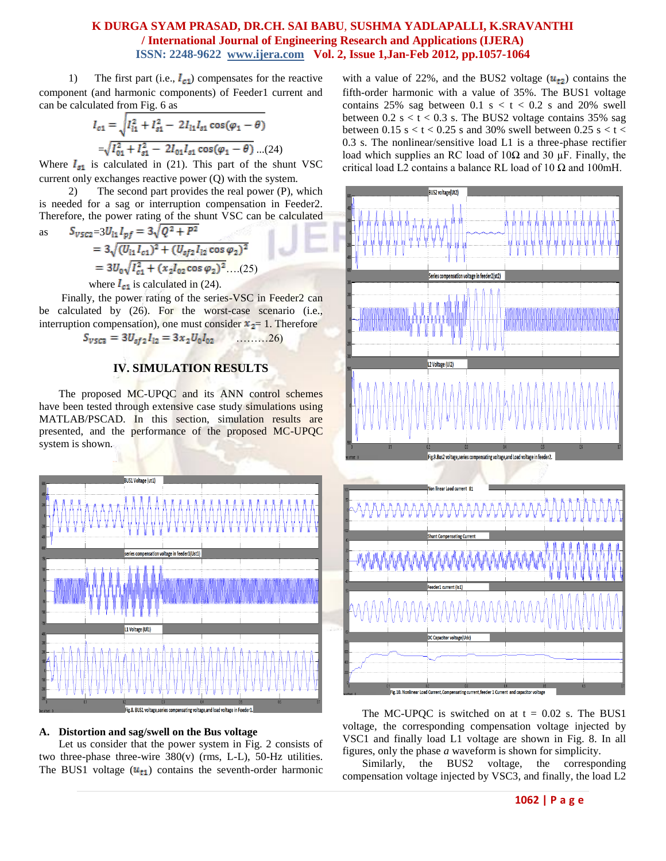1) The first part (i.e.,  $I_{c1}$ ) compensates for the reactive component (and harmonic components) of Feeder1 current and can be calculated from Fig. 6 as

$$
I_{c1} = \sqrt{I_{11}^2 + I_{s1}^2 - 2I_{11}I_{s1}\cos(\varphi_1 - \theta)}
$$
  
= $\sqrt{I_{01}^2 + I_{s1}^2 - 2I_{01}I_{s1}\cos(\varphi_1 - \theta)}$ ...(24)

Where  $I_{g1}$  is calculated in (21). This part of the shunt VSC current only exchanges reactive power (Q) with the system.

2) The second part provides the real power (P), which is needed for a sag or interruption compensation in Feeder2. Therefore, the power rating of the shunt VSC can be calculated

as 
$$
S_{VSC2}=3U_{11}I_{pf}=3\sqrt{Q^2+P^2}
$$
  
=  $3\sqrt{(U_{11}I_{c1})^2+(U_{sf2}I_{12}\cos\varphi_2)^2}$   
=  $3U_{0}\sqrt{I_{c1}^2+(x_2I_{02}\cos\varphi_2)^2}$ ...(25)  
where  $I_{c1}$  is calculated in (24).

Finally, the power rating of the series-VSC in Feeder2 can be calculated by (26). For the worst-case scenario (i.e., interruption compensation), one must consider  $x_2 = 1$ . Therefore

$$
S_{\nu 5C3} = 3U_{\nu 51}I_{12} = 3x_2U_0I_{02}
$$
 .........(26)

# **IV. SIMULATION RESULTS**

The proposed MC-UPQC and its ANN control schemes have been tested through extensive case study simulations using MATLAB/PSCAD. In this section, simulation results are presented, and the performance of the proposed MC-UPQC system is shown.



## **A. Distortion and sag/swell on the Bus voltage**

Let us consider that the power system in Fig. 2 consists of two three-phase three-wire 380(v) (rms, L-L), 50-Hz utilities. The BUS1 voltage  $(u_{t1})$  contains the seventh-order harmonic with a value of 22%, and the BUS2 voltage  $(u_{t2})$  contains the fifth-order harmonic with a value of 35%. The BUS1 voltage contains 25% sag between 0.1 s  $lt$  t  $lt$  0.2 s and 20% swell between  $0.2$  s  $\lt t \lt 0.3$  s. The BUS2 voltage contains 35% sag between 0.15 s  $< t < 0.25$  s and 30% swell between 0.25 s  $< t <$ 0.3 s. The nonlinear/sensitive load L1 is a three-phase rectifier load which supplies an RC load of  $10\Omega$  and  $30 \mu$ F. Finally, the critical load L2 contains a balance RL load of 10  $\Omega$  and 100mH.



The MC-UPQC is switched on at  $t = 0.02$  s. The BUS1 voltage, the corresponding compensation voltage injected by VSC1 and finally load L1 voltage are shown in Fig. 8. In all figures, only the phase *a* waveform is shown for simplicity.

Similarly, the BUS2 voltage, the corresponding compensation voltage injected by VSC3, and finally, the load L2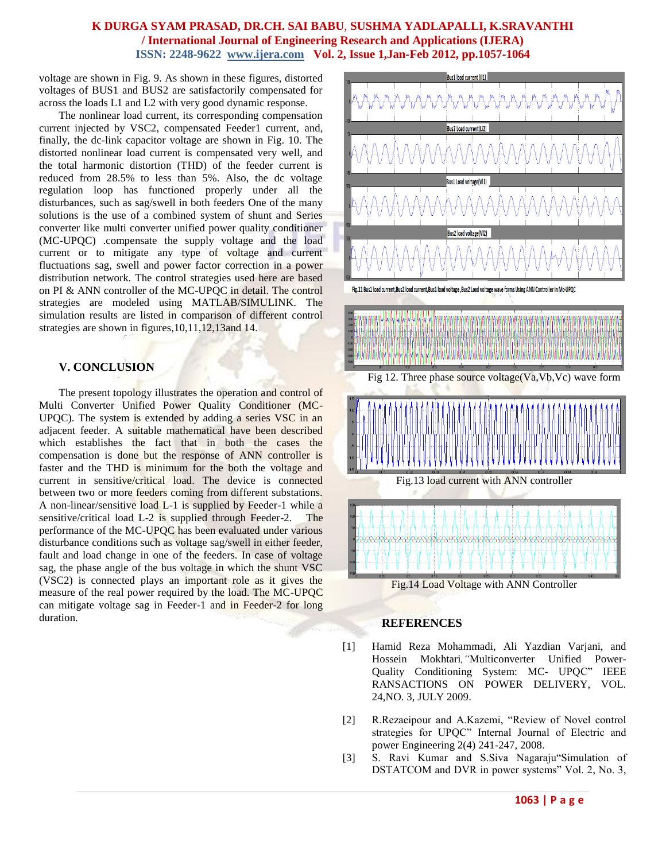voltage are shown in Fig. 9. As shown in these figures, distorted voltages of BUS1 and BUS2 are satisfactorily compensated for across the loads L1 and L2 with very good dynamic response.

The nonlinear load current, its corresponding compensation current injected by VSC2, compensated Feeder1 current, and, finally, the dc-link capacitor voltage are shown in Fig. 10. The distorted nonlinear load current is compensated very well, and the total harmonic distortion (THD) of the feeder current is reduced from 28.5% to less than 5%. Also, the dc voltage regulation loop has functioned properly under all the disturbances, such as sag/swell in both feeders One of the many solutions is the use of a combined system of shunt and Series converter like multi converter unified power quality conditioner (MC-UPQC) .compensate the supply voltage and the load current or to mitigate any type of voltage and current fluctuations sag, swell and power factor correction in a power distribution network. The control strategies used here are based on PI & ANN controller of the MC-UPQC in detail. The control strategies are modeled using MATLAB/SIMULINK. The simulation results are listed in comparison of different control strategies are shown in figures,10,11,12,13and 14.

# **V. CONCLUSION**

The present topology illustrates the operation and control of Multi Converter Unified Power Quality Conditioner (MC-UPQC). The system is extended by adding a series VSC in an adjacent feeder. A suitable mathematical have been described which establishes the fact that in both the cases the compensation is done but the response of ANN controller is faster and the THD is minimum for the both the voltage and current in sensitive/critical load. The device is connected between two or more feeders coming from different substations. A non-linear/sensitive load L-1 is supplied by Feeder-1 while a sensitive/critical load L-2 is supplied through Feeder-2. The performance of the MC-UPQC has been evaluated under various disturbance conditions such as voltage sag/swell in either feeder, fault and load change in one of the feeders. In case of voltage sag, the phase angle of the bus voltage in which the shunt VSC (VSC2) is connected plays an important role as it gives the measure of the real power required by the load. The MC-UPQC can mitigate voltage sag in Feeder-1 and in Feeder-2 for long duration.



## **REFERENCES**

- [1] Hamid Reza Mohammadi, Ali Yazdian Varjani, and Hossein Mokhtari*,"*Multiconverter Unified Power-Quality Conditioning System: MC- UPQC" IEEE RANSACTIONS ON POWER DELIVERY, VOL. 24,NO. 3, JULY 2009.
- [2] R.Rezaeipour and A.Kazemi, "Review of Novel control strategies for UPQC" Internal Journal of Electric and power Engineering 2(4) 241-247, 2008.
- [3] S. Ravi Kumar and S.Siva Nagaraju"Simulation of DSTATCOM and DVR in power systems" Vol. 2, No. 3,